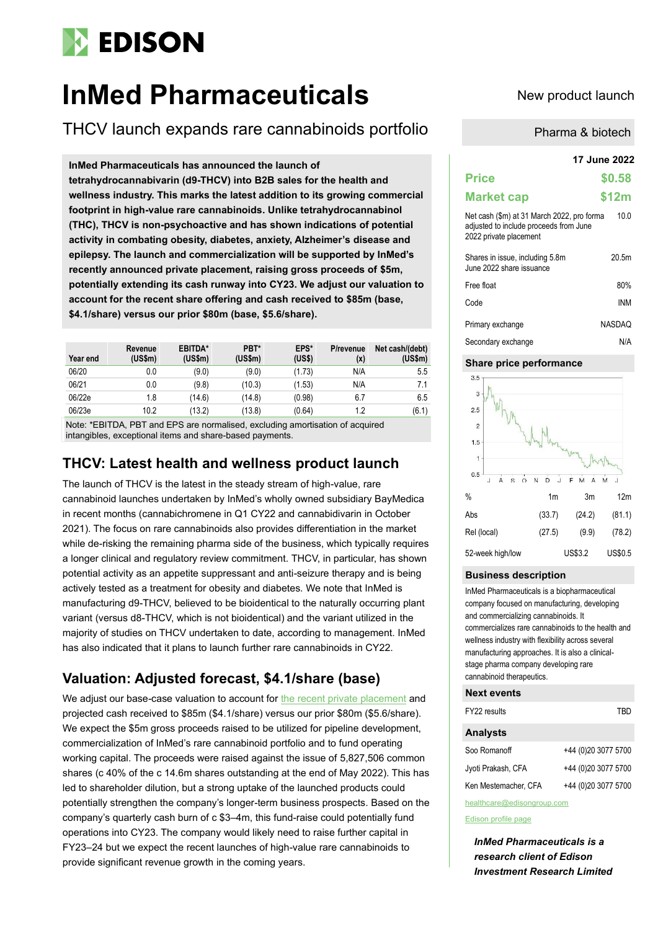# **EDISON**

# **InMed Pharmaceuticals** New product launch

THCV launch expands rare cannabinoids portfolio

**InMed Pharmaceuticals has announced the launch of tetrahydrocannabivarin (d9-THCV) into B2B sales for the health and wellness industry. This marks the latest addition to its growing commercial footprint in high-value rare cannabinoids. Unlike tetrahydrocannabinol (THC), THCV is non-psychoactive and has shown indications of potential activity in combating obesity, diabetes, anxiety, Alzheimer's disease and epilepsy. The launch and commercialization will be supported by InMed's recently announced private placement, raising gross proceeds of \$5m, potentially extending its cash runway into CY23. We adjust our valuation to account for the recent share offering and cash received to \$85m (base, \$4.1/share) versus our prior \$80m (base, \$5.6/share).**

| Year end | Revenue<br>(US\$m) | EBITDA*<br>(US\$m) | PBT*<br>(US\$m) | EPS*<br>(US\$) | P/revenue<br>(x) | Net cash/(debt)<br>(US\$m) |
|----------|--------------------|--------------------|-----------------|----------------|------------------|----------------------------|
| 06/20    | 0.0                | (9.0)              | (9.0)           | (1.73)         | N/A              | 5.5                        |
| 06/21    | 0.0                | (9.8)              | (10.3)          | (1.53)         | N/A              | 7.1                        |
| 06/22e   | 1.8                | (14.6)             | (14.8)          | (0.98)         | 6.7              | 6.5                        |
| 06/23e   | 10.2               | (13.2)             | (13.8)          | (0.64)         | 1.2              | (6.1)                      |

Note: \*EBITDA, PBT and EPS are normalised, excluding amortisation of acquired intangibles, exceptional items and share-based payments.

### **THCV: Latest health and wellness product launch**

The launch of THCV is the latest in the steady stream of high-value, rare cannabinoid launches undertaken by InMed's wholly owned subsidiary BayMedica in recent months (cannabichromene in Q1 CY22 and cannabidivarin in October 2021). The focus on rare cannabinoids also provides differentiation in the market while de-risking the remaining pharma side of the business, which typically requires a longer clinical and regulatory review commitment. THCV, in particular, has shown potential activity as an appetite suppressant and anti-seizure therapy and is being actively tested as a treatment for obesity and diabetes. We note that InMed is manufacturing d9-THCV, believed to be bioidentical to the naturally occurring plant variant (versus d8-THCV, which is not bioidentical) and the variant utilized in the majority of studies on THCV undertaken to date, according to management. InMed has also indicated that it plans to launch further rare cannabinoids in CY22.

## **Valuation: Adjusted forecast, \$4.1/share (base)**

We adjust our base-case valuation to account for [the recent private placement](https://investors.inmedpharma.com/news-releases/news-release-details/inmed-pharmaceuticals-announces-closing-5-million-registered) and projected cash received to \$85m (\$4.1/share) versus our prior \$80m (\$5.6/share). We expect the \$5m gross proceeds raised to be utilized for pipeline development, commercialization of InMed's rare cannabinoid portfolio and to fund operating working capital. The proceeds were raised against the issue of 5,827,506 common shares (c 40% of the c 14.6m shares outstanding at the end of May 2022). This has led to shareholder dilution, but a strong uptake of the launched products could potentially strengthen the company's longer-term business prospects. Based on the company's quarterly cash burn of c \$3–4m, this fund-raise could potentially fund operations into CY23. The company would likely need to raise further capital in FY23–24 but we expect the recent launches of high-value rare cannabinoids to provide significant revenue growth in the coming years.

Pharma & biotech

|                                                                                                                | 17 June 2022  |  |  |
|----------------------------------------------------------------------------------------------------------------|---------------|--|--|
| <b>Price</b>                                                                                                   | \$0.58        |  |  |
| <b>Market cap</b>                                                                                              | \$12m         |  |  |
| Net cash (\$m) at 31 March 2022, pro forma<br>adjusted to include proceeds from June<br>2022 private placement | 10.0          |  |  |
| Shares in issue, including 5.8m<br>June 2022 share issuance                                                    | 20.5m         |  |  |
| Free float                                                                                                     | 80%           |  |  |
| Code                                                                                                           | <b>INM</b>    |  |  |
| Primary exchange                                                                                               | <b>NASDAQ</b> |  |  |
| Secondary exchange                                                                                             | N/A           |  |  |

#### **Share price performance**



#### **Business description**

InMed Pharmaceuticals is a biopharmaceutical company focused on manufacturing, developing and commercializing cannabinoids. It commercializes rare cannabinoids to the health and wellness industry with flexibility across several manufacturing approaches. It is also a clinicalstage pharma company developing rare cannabinoid therapeutics.

#### **Next events**

| FY22 results       | TRD                 |
|--------------------|---------------------|
| <b>Analysts</b>    |                     |
| Soo Romanoff       | +44 (0)20 3077 5700 |
| Jyoti Prakash, CFA | +44 (0)20 3077 5700 |

Ken Mestemacher, CFA +44 (0)20 3077 5700

healthcare@edisongroup.com [Edison profile page](http://www.edisongroup.com/company/inmed-pharmaceuticals/)

*InMed Pharmaceuticals is a research client of Edison Investment Research Limited*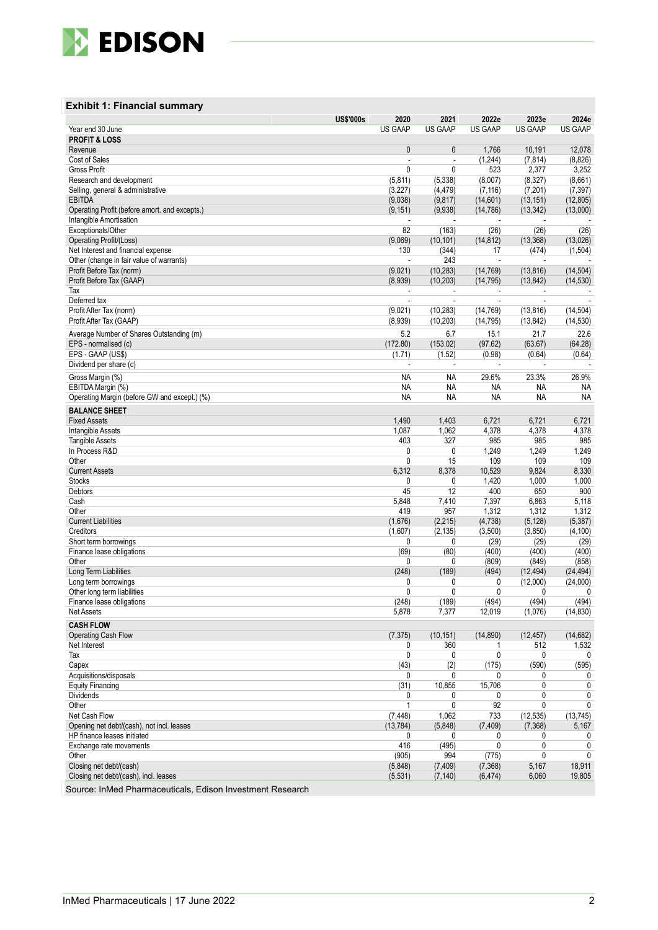

### **Exhibit 1: Financial summary**

| <b>US GAAP</b><br><b>US GAAP</b><br>Year end 30 June<br><b>PROFIT &amp; LOSS</b><br>$\mathbf{0}$<br>$\mathbf{0}$<br>1,766<br>10,191<br>12,078<br>Revenue<br>Cost of Sales<br>(1,244)<br>(7, 814)<br>(8,826)<br>÷,<br>÷,<br>2,377<br><b>Gross Profit</b><br>0<br>0<br>523<br>3,252<br>(5, 338)<br>(8,007)<br>(8, 327)<br>(8,661)<br>Research and development<br>(5,811)<br>(4, 479)<br>(7, 116)<br>(7, 201)<br>(7, 397)<br>Selling, general & administrative<br>(3,227)<br><b>EBITDA</b><br>(9,038)<br>(9, 817)<br>(14,601)<br>(13, 151)<br>(12, 805)<br>Operating Profit (before amort. and excepts.)<br>(9, 151)<br>(9,938)<br>(14, 786)<br>(13, 342)<br>(13,000)<br>Intangible Amortisation<br>$\blacksquare$<br>82<br>(26)<br>(26)<br>(26)<br>Exceptionals/Other<br>(163)<br>Operating Profit/(Loss)<br>(9,069)<br>(14, 812)<br>(13, 368)<br>(13,026)<br>(10, 101)<br>130<br>(344)<br>17<br>(474)<br>(1,504)<br>Net Interest and financial expense<br>243<br>Other (change in fair value of warrants)<br>÷,<br>÷,<br>Profit Before Tax (norm)<br>(9,021)<br>(10, 283)<br>(13, 816)<br>(14, 504)<br>(14, 769)<br>(8,939)<br>(10, 203)<br>(13, 842)<br>Profit Before Tax (GAAP)<br>(14, 795)<br>(14, 530)<br>Tax<br>$\overline{\phantom{a}}$<br>Deferred tax<br>ä,<br>÷,<br>ä,<br>J.<br>Profit After Tax (norm)<br>(9,021)<br>(10, 283)<br>(14, 769)<br>(13, 816)<br>(14, 504)<br>(8,939)<br>(13, 842)<br>Profit After Tax (GAAP)<br>(10, 203)<br>(14, 795)<br>(14, 530)<br>5.2<br>6.7<br>15.1<br>21.7<br>22.6<br>Average Number of Shares Outstanding (m)<br>EPS - normalised (c)<br>(172.80)<br>(97.62)<br>(63.67)<br>(64.28)<br>(153.02)<br>EPS - GAAP (US\$)<br>(1.71)<br>(1.52)<br>(0.98)<br>(0.64)<br>(0.64)<br>Dividend per share (c)<br>ä,<br>ä,<br>L,<br>J.<br>$\overline{\phantom{a}}$<br>Gross Margin (%)<br><b>NA</b><br><b>NA</b><br>29.6%<br>23.3%<br>26.9%<br><b>NA</b><br><b>NA</b><br>EBITDA Margin (%)<br>NA<br>NA<br>ΝA<br><b>NA</b><br><b>NA</b><br><b>NA</b><br><b>NA</b><br><b>NA</b><br>Operating Margin (before GW and except.) (%)<br><b>BALANCE SHEET</b><br>1,490<br>1,403<br>6,721<br>6,721<br><b>Fixed Assets</b><br>6,721<br>1,087<br>1,062<br>4,378<br>4,378<br>4,378<br>Intangible Assets<br>403<br>327<br>985<br><b>Tangible Assets</b><br>985<br>985<br>In Process R&D<br>0<br>0<br>1,249<br>1,249<br>1,249<br>0<br>109<br>109<br>Other<br>15<br>109<br>6,312<br>8,378<br><b>Current Assets</b><br>10,529<br>9,824<br>8,330<br><b>Stocks</b><br>0<br>1,420<br>1,000<br>1,000<br>0<br>45<br>900<br>Debtors<br>12<br>400<br>650<br>5,118<br>5,848<br>7,410<br>7,397<br>6,863<br>Cash<br>419<br>1,312<br>1,312<br>1,312<br>Other<br>957<br><b>Current Liabilities</b><br>(4,738)<br>(1,676)<br>(2, 215)<br>(5, 128)<br>(5, 387)<br>Creditors<br>(2, 135)<br>(3,500)<br>(3, 850)<br>(4, 100)<br>(1,607)<br>(29)<br>(29)<br>(29)<br>Short term borrowings<br>0<br>0<br>(69)<br>(80)<br>Finance lease obligations<br>(400)<br>(400)<br>(400)<br>0<br>0<br>(809)<br>(849)<br>(858)<br>Other<br>(248)<br>(189)<br>(494)<br>(12, 494)<br>Long Term Liabilities<br>(24, 494)<br>(12,000)<br>Long term borrowings<br>0<br>0<br>0<br>(24,000)<br>0<br>0<br>0<br>Other long term liabilities<br>0<br>0<br>(248)<br>(189)<br>(494)<br>(494)<br>(494)<br>Finance lease obligations<br>5,878<br>7,377<br>12,019<br>(1,076)<br>(14, 830)<br>Net Assets<br><b>CASH FLOW</b><br>Operating Cash Flow<br>(7, 375)<br>(14, 890)<br>(14,682)<br>(10, 151)<br>(12, 457)<br>Net Interest<br>360<br>512<br>1,532<br>0<br>1<br>0<br>0<br>0<br>Tax<br>0<br>0<br>(43)<br>Capex<br>(2)<br>(175)<br>(590)<br>(595)<br>Acquisitions/disposals<br>0<br>0<br>0<br>0<br>0<br><b>Equity Financing</b><br>(31)<br>10,855<br>15,706<br>0<br>0<br><b>Dividends</b><br>0<br>0<br>0<br>0<br>0<br>Other<br>92<br>0<br>0<br>1<br>0<br>Net Cash Flow<br>(7, 448)<br>1,062<br>733<br>(12, 535)<br>(13, 745)<br>Opening net debt/(cash), not incl. leases<br>(13, 784)<br>(5,848)<br>(7, 409)<br>(7, 368)<br>5,167<br>HP finance leases initiated<br>0<br>$\mathbf{0}$<br>0<br>0<br>0<br>416<br>$\mathbf 0$<br>Exchange rate movements<br>(495)<br>0<br>0<br>Other<br>(905)<br>(775)<br>0<br>994<br>$\mathbf{0}$<br>Closing net debt/(cash)<br>(7, 409)<br>5,167<br>18,911<br>(5,848)<br>(7,368)<br>Closing net debt/(cash), incl. leases<br>19,805<br>(5, 531)<br>(7, 140)<br>(6, 474)<br>6,060<br>Source: InMed Pharmaceuticals, Edison Investment Research | <b>US\$'000s</b><br>2020 | 2021 | 2022e          | 2023e          | 2024e          |
|----------------------------------------------------------------------------------------------------------------------------------------------------------------------------------------------------------------------------------------------------------------------------------------------------------------------------------------------------------------------------------------------------------------------------------------------------------------------------------------------------------------------------------------------------------------------------------------------------------------------------------------------------------------------------------------------------------------------------------------------------------------------------------------------------------------------------------------------------------------------------------------------------------------------------------------------------------------------------------------------------------------------------------------------------------------------------------------------------------------------------------------------------------------------------------------------------------------------------------------------------------------------------------------------------------------------------------------------------------------------------------------------------------------------------------------------------------------------------------------------------------------------------------------------------------------------------------------------------------------------------------------------------------------------------------------------------------------------------------------------------------------------------------------------------------------------------------------------------------------------------------------------------------------------------------------------------------------------------------------------------------------------------------------------------------------------------------------------------------------------------------------------------------------------------------------------------------------------------------------------------------------------------------------------------------------------------------------------------------------------------------------------------------------------------------------------------------------------------------------------------------------------------------------------------------------------------------------------------------------------------------------------------------------------------------------------------------------------------------------------------------------------------------------------------------------------------------------------------------------------------------------------------------------------------------------------------------------------------------------------------------------------------------------------------------------------------------------------------------------------------------------------------------------------------------------------------------------------------------------------------------------------------------------------------------------------------------------------------------------------------------------------------------------------------------------------------------------------------------------------------------------------------------------------------------------------------------------------------------------------------------------------------------------------------------------------------------------------------------------------------------------------------------------------------------------------------------------------------------------------------------------------------------------------------------------------------------------------------------------------------------------------------------------------------------------------------------------------------------------------------------------------------------------------------------------------------------------------------------------------------------------------------------------------------------------------------------------------------------------------------------------------------------------------------------------------------|--------------------------|------|----------------|----------------|----------------|
|                                                                                                                                                                                                                                                                                                                                                                                                                                                                                                                                                                                                                                                                                                                                                                                                                                                                                                                                                                                                                                                                                                                                                                                                                                                                                                                                                                                                                                                                                                                                                                                                                                                                                                                                                                                                                                                                                                                                                                                                                                                                                                                                                                                                                                                                                                                                                                                                                                                                                                                                                                                                                                                                                                                                                                                                                                                                                                                                                                                                                                                                                                                                                                                                                                                                                                                                                                                                                                                                                                                                                                                                                                                                                                                                                                                                                                                                                                                                                                                                                                                                                                                                                                                                                                                                                                                                                                                                                                                    |                          |      | <b>US GAAP</b> | <b>US GAAP</b> | <b>US GAAP</b> |
|                                                                                                                                                                                                                                                                                                                                                                                                                                                                                                                                                                                                                                                                                                                                                                                                                                                                                                                                                                                                                                                                                                                                                                                                                                                                                                                                                                                                                                                                                                                                                                                                                                                                                                                                                                                                                                                                                                                                                                                                                                                                                                                                                                                                                                                                                                                                                                                                                                                                                                                                                                                                                                                                                                                                                                                                                                                                                                                                                                                                                                                                                                                                                                                                                                                                                                                                                                                                                                                                                                                                                                                                                                                                                                                                                                                                                                                                                                                                                                                                                                                                                                                                                                                                                                                                                                                                                                                                                                                    |                          |      |                |                |                |
|                                                                                                                                                                                                                                                                                                                                                                                                                                                                                                                                                                                                                                                                                                                                                                                                                                                                                                                                                                                                                                                                                                                                                                                                                                                                                                                                                                                                                                                                                                                                                                                                                                                                                                                                                                                                                                                                                                                                                                                                                                                                                                                                                                                                                                                                                                                                                                                                                                                                                                                                                                                                                                                                                                                                                                                                                                                                                                                                                                                                                                                                                                                                                                                                                                                                                                                                                                                                                                                                                                                                                                                                                                                                                                                                                                                                                                                                                                                                                                                                                                                                                                                                                                                                                                                                                                                                                                                                                                                    |                          |      |                |                |                |
|                                                                                                                                                                                                                                                                                                                                                                                                                                                                                                                                                                                                                                                                                                                                                                                                                                                                                                                                                                                                                                                                                                                                                                                                                                                                                                                                                                                                                                                                                                                                                                                                                                                                                                                                                                                                                                                                                                                                                                                                                                                                                                                                                                                                                                                                                                                                                                                                                                                                                                                                                                                                                                                                                                                                                                                                                                                                                                                                                                                                                                                                                                                                                                                                                                                                                                                                                                                                                                                                                                                                                                                                                                                                                                                                                                                                                                                                                                                                                                                                                                                                                                                                                                                                                                                                                                                                                                                                                                                    |                          |      |                |                |                |
|                                                                                                                                                                                                                                                                                                                                                                                                                                                                                                                                                                                                                                                                                                                                                                                                                                                                                                                                                                                                                                                                                                                                                                                                                                                                                                                                                                                                                                                                                                                                                                                                                                                                                                                                                                                                                                                                                                                                                                                                                                                                                                                                                                                                                                                                                                                                                                                                                                                                                                                                                                                                                                                                                                                                                                                                                                                                                                                                                                                                                                                                                                                                                                                                                                                                                                                                                                                                                                                                                                                                                                                                                                                                                                                                                                                                                                                                                                                                                                                                                                                                                                                                                                                                                                                                                                                                                                                                                                                    |                          |      |                |                |                |
|                                                                                                                                                                                                                                                                                                                                                                                                                                                                                                                                                                                                                                                                                                                                                                                                                                                                                                                                                                                                                                                                                                                                                                                                                                                                                                                                                                                                                                                                                                                                                                                                                                                                                                                                                                                                                                                                                                                                                                                                                                                                                                                                                                                                                                                                                                                                                                                                                                                                                                                                                                                                                                                                                                                                                                                                                                                                                                                                                                                                                                                                                                                                                                                                                                                                                                                                                                                                                                                                                                                                                                                                                                                                                                                                                                                                                                                                                                                                                                                                                                                                                                                                                                                                                                                                                                                                                                                                                                                    |                          |      |                |                |                |
|                                                                                                                                                                                                                                                                                                                                                                                                                                                                                                                                                                                                                                                                                                                                                                                                                                                                                                                                                                                                                                                                                                                                                                                                                                                                                                                                                                                                                                                                                                                                                                                                                                                                                                                                                                                                                                                                                                                                                                                                                                                                                                                                                                                                                                                                                                                                                                                                                                                                                                                                                                                                                                                                                                                                                                                                                                                                                                                                                                                                                                                                                                                                                                                                                                                                                                                                                                                                                                                                                                                                                                                                                                                                                                                                                                                                                                                                                                                                                                                                                                                                                                                                                                                                                                                                                                                                                                                                                                                    |                          |      |                |                |                |
|                                                                                                                                                                                                                                                                                                                                                                                                                                                                                                                                                                                                                                                                                                                                                                                                                                                                                                                                                                                                                                                                                                                                                                                                                                                                                                                                                                                                                                                                                                                                                                                                                                                                                                                                                                                                                                                                                                                                                                                                                                                                                                                                                                                                                                                                                                                                                                                                                                                                                                                                                                                                                                                                                                                                                                                                                                                                                                                                                                                                                                                                                                                                                                                                                                                                                                                                                                                                                                                                                                                                                                                                                                                                                                                                                                                                                                                                                                                                                                                                                                                                                                                                                                                                                                                                                                                                                                                                                                                    |                          |      |                |                |                |
|                                                                                                                                                                                                                                                                                                                                                                                                                                                                                                                                                                                                                                                                                                                                                                                                                                                                                                                                                                                                                                                                                                                                                                                                                                                                                                                                                                                                                                                                                                                                                                                                                                                                                                                                                                                                                                                                                                                                                                                                                                                                                                                                                                                                                                                                                                                                                                                                                                                                                                                                                                                                                                                                                                                                                                                                                                                                                                                                                                                                                                                                                                                                                                                                                                                                                                                                                                                                                                                                                                                                                                                                                                                                                                                                                                                                                                                                                                                                                                                                                                                                                                                                                                                                                                                                                                                                                                                                                                                    |                          |      |                |                |                |
|                                                                                                                                                                                                                                                                                                                                                                                                                                                                                                                                                                                                                                                                                                                                                                                                                                                                                                                                                                                                                                                                                                                                                                                                                                                                                                                                                                                                                                                                                                                                                                                                                                                                                                                                                                                                                                                                                                                                                                                                                                                                                                                                                                                                                                                                                                                                                                                                                                                                                                                                                                                                                                                                                                                                                                                                                                                                                                                                                                                                                                                                                                                                                                                                                                                                                                                                                                                                                                                                                                                                                                                                                                                                                                                                                                                                                                                                                                                                                                                                                                                                                                                                                                                                                                                                                                                                                                                                                                                    |                          |      |                |                |                |
|                                                                                                                                                                                                                                                                                                                                                                                                                                                                                                                                                                                                                                                                                                                                                                                                                                                                                                                                                                                                                                                                                                                                                                                                                                                                                                                                                                                                                                                                                                                                                                                                                                                                                                                                                                                                                                                                                                                                                                                                                                                                                                                                                                                                                                                                                                                                                                                                                                                                                                                                                                                                                                                                                                                                                                                                                                                                                                                                                                                                                                                                                                                                                                                                                                                                                                                                                                                                                                                                                                                                                                                                                                                                                                                                                                                                                                                                                                                                                                                                                                                                                                                                                                                                                                                                                                                                                                                                                                                    |                          |      |                |                |                |
|                                                                                                                                                                                                                                                                                                                                                                                                                                                                                                                                                                                                                                                                                                                                                                                                                                                                                                                                                                                                                                                                                                                                                                                                                                                                                                                                                                                                                                                                                                                                                                                                                                                                                                                                                                                                                                                                                                                                                                                                                                                                                                                                                                                                                                                                                                                                                                                                                                                                                                                                                                                                                                                                                                                                                                                                                                                                                                                                                                                                                                                                                                                                                                                                                                                                                                                                                                                                                                                                                                                                                                                                                                                                                                                                                                                                                                                                                                                                                                                                                                                                                                                                                                                                                                                                                                                                                                                                                                                    |                          |      |                |                |                |
|                                                                                                                                                                                                                                                                                                                                                                                                                                                                                                                                                                                                                                                                                                                                                                                                                                                                                                                                                                                                                                                                                                                                                                                                                                                                                                                                                                                                                                                                                                                                                                                                                                                                                                                                                                                                                                                                                                                                                                                                                                                                                                                                                                                                                                                                                                                                                                                                                                                                                                                                                                                                                                                                                                                                                                                                                                                                                                                                                                                                                                                                                                                                                                                                                                                                                                                                                                                                                                                                                                                                                                                                                                                                                                                                                                                                                                                                                                                                                                                                                                                                                                                                                                                                                                                                                                                                                                                                                                                    |                          |      |                |                |                |
|                                                                                                                                                                                                                                                                                                                                                                                                                                                                                                                                                                                                                                                                                                                                                                                                                                                                                                                                                                                                                                                                                                                                                                                                                                                                                                                                                                                                                                                                                                                                                                                                                                                                                                                                                                                                                                                                                                                                                                                                                                                                                                                                                                                                                                                                                                                                                                                                                                                                                                                                                                                                                                                                                                                                                                                                                                                                                                                                                                                                                                                                                                                                                                                                                                                                                                                                                                                                                                                                                                                                                                                                                                                                                                                                                                                                                                                                                                                                                                                                                                                                                                                                                                                                                                                                                                                                                                                                                                                    |                          |      |                |                |                |
|                                                                                                                                                                                                                                                                                                                                                                                                                                                                                                                                                                                                                                                                                                                                                                                                                                                                                                                                                                                                                                                                                                                                                                                                                                                                                                                                                                                                                                                                                                                                                                                                                                                                                                                                                                                                                                                                                                                                                                                                                                                                                                                                                                                                                                                                                                                                                                                                                                                                                                                                                                                                                                                                                                                                                                                                                                                                                                                                                                                                                                                                                                                                                                                                                                                                                                                                                                                                                                                                                                                                                                                                                                                                                                                                                                                                                                                                                                                                                                                                                                                                                                                                                                                                                                                                                                                                                                                                                                                    |                          |      |                |                |                |
|                                                                                                                                                                                                                                                                                                                                                                                                                                                                                                                                                                                                                                                                                                                                                                                                                                                                                                                                                                                                                                                                                                                                                                                                                                                                                                                                                                                                                                                                                                                                                                                                                                                                                                                                                                                                                                                                                                                                                                                                                                                                                                                                                                                                                                                                                                                                                                                                                                                                                                                                                                                                                                                                                                                                                                                                                                                                                                                                                                                                                                                                                                                                                                                                                                                                                                                                                                                                                                                                                                                                                                                                                                                                                                                                                                                                                                                                                                                                                                                                                                                                                                                                                                                                                                                                                                                                                                                                                                                    |                          |      |                |                |                |
|                                                                                                                                                                                                                                                                                                                                                                                                                                                                                                                                                                                                                                                                                                                                                                                                                                                                                                                                                                                                                                                                                                                                                                                                                                                                                                                                                                                                                                                                                                                                                                                                                                                                                                                                                                                                                                                                                                                                                                                                                                                                                                                                                                                                                                                                                                                                                                                                                                                                                                                                                                                                                                                                                                                                                                                                                                                                                                                                                                                                                                                                                                                                                                                                                                                                                                                                                                                                                                                                                                                                                                                                                                                                                                                                                                                                                                                                                                                                                                                                                                                                                                                                                                                                                                                                                                                                                                                                                                                    |                          |      |                |                |                |
|                                                                                                                                                                                                                                                                                                                                                                                                                                                                                                                                                                                                                                                                                                                                                                                                                                                                                                                                                                                                                                                                                                                                                                                                                                                                                                                                                                                                                                                                                                                                                                                                                                                                                                                                                                                                                                                                                                                                                                                                                                                                                                                                                                                                                                                                                                                                                                                                                                                                                                                                                                                                                                                                                                                                                                                                                                                                                                                                                                                                                                                                                                                                                                                                                                                                                                                                                                                                                                                                                                                                                                                                                                                                                                                                                                                                                                                                                                                                                                                                                                                                                                                                                                                                                                                                                                                                                                                                                                                    |                          |      |                |                |                |
|                                                                                                                                                                                                                                                                                                                                                                                                                                                                                                                                                                                                                                                                                                                                                                                                                                                                                                                                                                                                                                                                                                                                                                                                                                                                                                                                                                                                                                                                                                                                                                                                                                                                                                                                                                                                                                                                                                                                                                                                                                                                                                                                                                                                                                                                                                                                                                                                                                                                                                                                                                                                                                                                                                                                                                                                                                                                                                                                                                                                                                                                                                                                                                                                                                                                                                                                                                                                                                                                                                                                                                                                                                                                                                                                                                                                                                                                                                                                                                                                                                                                                                                                                                                                                                                                                                                                                                                                                                                    |                          |      |                |                |                |
|                                                                                                                                                                                                                                                                                                                                                                                                                                                                                                                                                                                                                                                                                                                                                                                                                                                                                                                                                                                                                                                                                                                                                                                                                                                                                                                                                                                                                                                                                                                                                                                                                                                                                                                                                                                                                                                                                                                                                                                                                                                                                                                                                                                                                                                                                                                                                                                                                                                                                                                                                                                                                                                                                                                                                                                                                                                                                                                                                                                                                                                                                                                                                                                                                                                                                                                                                                                                                                                                                                                                                                                                                                                                                                                                                                                                                                                                                                                                                                                                                                                                                                                                                                                                                                                                                                                                                                                                                                                    |                          |      |                |                |                |
|                                                                                                                                                                                                                                                                                                                                                                                                                                                                                                                                                                                                                                                                                                                                                                                                                                                                                                                                                                                                                                                                                                                                                                                                                                                                                                                                                                                                                                                                                                                                                                                                                                                                                                                                                                                                                                                                                                                                                                                                                                                                                                                                                                                                                                                                                                                                                                                                                                                                                                                                                                                                                                                                                                                                                                                                                                                                                                                                                                                                                                                                                                                                                                                                                                                                                                                                                                                                                                                                                                                                                                                                                                                                                                                                                                                                                                                                                                                                                                                                                                                                                                                                                                                                                                                                                                                                                                                                                                                    |                          |      |                |                |                |
|                                                                                                                                                                                                                                                                                                                                                                                                                                                                                                                                                                                                                                                                                                                                                                                                                                                                                                                                                                                                                                                                                                                                                                                                                                                                                                                                                                                                                                                                                                                                                                                                                                                                                                                                                                                                                                                                                                                                                                                                                                                                                                                                                                                                                                                                                                                                                                                                                                                                                                                                                                                                                                                                                                                                                                                                                                                                                                                                                                                                                                                                                                                                                                                                                                                                                                                                                                                                                                                                                                                                                                                                                                                                                                                                                                                                                                                                                                                                                                                                                                                                                                                                                                                                                                                                                                                                                                                                                                                    |                          |      |                |                |                |
|                                                                                                                                                                                                                                                                                                                                                                                                                                                                                                                                                                                                                                                                                                                                                                                                                                                                                                                                                                                                                                                                                                                                                                                                                                                                                                                                                                                                                                                                                                                                                                                                                                                                                                                                                                                                                                                                                                                                                                                                                                                                                                                                                                                                                                                                                                                                                                                                                                                                                                                                                                                                                                                                                                                                                                                                                                                                                                                                                                                                                                                                                                                                                                                                                                                                                                                                                                                                                                                                                                                                                                                                                                                                                                                                                                                                                                                                                                                                                                                                                                                                                                                                                                                                                                                                                                                                                                                                                                                    |                          |      |                |                |                |
|                                                                                                                                                                                                                                                                                                                                                                                                                                                                                                                                                                                                                                                                                                                                                                                                                                                                                                                                                                                                                                                                                                                                                                                                                                                                                                                                                                                                                                                                                                                                                                                                                                                                                                                                                                                                                                                                                                                                                                                                                                                                                                                                                                                                                                                                                                                                                                                                                                                                                                                                                                                                                                                                                                                                                                                                                                                                                                                                                                                                                                                                                                                                                                                                                                                                                                                                                                                                                                                                                                                                                                                                                                                                                                                                                                                                                                                                                                                                                                                                                                                                                                                                                                                                                                                                                                                                                                                                                                                    |                          |      |                |                |                |
|                                                                                                                                                                                                                                                                                                                                                                                                                                                                                                                                                                                                                                                                                                                                                                                                                                                                                                                                                                                                                                                                                                                                                                                                                                                                                                                                                                                                                                                                                                                                                                                                                                                                                                                                                                                                                                                                                                                                                                                                                                                                                                                                                                                                                                                                                                                                                                                                                                                                                                                                                                                                                                                                                                                                                                                                                                                                                                                                                                                                                                                                                                                                                                                                                                                                                                                                                                                                                                                                                                                                                                                                                                                                                                                                                                                                                                                                                                                                                                                                                                                                                                                                                                                                                                                                                                                                                                                                                                                    |                          |      |                |                |                |
|                                                                                                                                                                                                                                                                                                                                                                                                                                                                                                                                                                                                                                                                                                                                                                                                                                                                                                                                                                                                                                                                                                                                                                                                                                                                                                                                                                                                                                                                                                                                                                                                                                                                                                                                                                                                                                                                                                                                                                                                                                                                                                                                                                                                                                                                                                                                                                                                                                                                                                                                                                                                                                                                                                                                                                                                                                                                                                                                                                                                                                                                                                                                                                                                                                                                                                                                                                                                                                                                                                                                                                                                                                                                                                                                                                                                                                                                                                                                                                                                                                                                                                                                                                                                                                                                                                                                                                                                                                                    |                          |      |                |                |                |
|                                                                                                                                                                                                                                                                                                                                                                                                                                                                                                                                                                                                                                                                                                                                                                                                                                                                                                                                                                                                                                                                                                                                                                                                                                                                                                                                                                                                                                                                                                                                                                                                                                                                                                                                                                                                                                                                                                                                                                                                                                                                                                                                                                                                                                                                                                                                                                                                                                                                                                                                                                                                                                                                                                                                                                                                                                                                                                                                                                                                                                                                                                                                                                                                                                                                                                                                                                                                                                                                                                                                                                                                                                                                                                                                                                                                                                                                                                                                                                                                                                                                                                                                                                                                                                                                                                                                                                                                                                                    |                          |      |                |                |                |
|                                                                                                                                                                                                                                                                                                                                                                                                                                                                                                                                                                                                                                                                                                                                                                                                                                                                                                                                                                                                                                                                                                                                                                                                                                                                                                                                                                                                                                                                                                                                                                                                                                                                                                                                                                                                                                                                                                                                                                                                                                                                                                                                                                                                                                                                                                                                                                                                                                                                                                                                                                                                                                                                                                                                                                                                                                                                                                                                                                                                                                                                                                                                                                                                                                                                                                                                                                                                                                                                                                                                                                                                                                                                                                                                                                                                                                                                                                                                                                                                                                                                                                                                                                                                                                                                                                                                                                                                                                                    |                          |      |                |                |                |
|                                                                                                                                                                                                                                                                                                                                                                                                                                                                                                                                                                                                                                                                                                                                                                                                                                                                                                                                                                                                                                                                                                                                                                                                                                                                                                                                                                                                                                                                                                                                                                                                                                                                                                                                                                                                                                                                                                                                                                                                                                                                                                                                                                                                                                                                                                                                                                                                                                                                                                                                                                                                                                                                                                                                                                                                                                                                                                                                                                                                                                                                                                                                                                                                                                                                                                                                                                                                                                                                                                                                                                                                                                                                                                                                                                                                                                                                                                                                                                                                                                                                                                                                                                                                                                                                                                                                                                                                                                                    |                          |      |                |                |                |
|                                                                                                                                                                                                                                                                                                                                                                                                                                                                                                                                                                                                                                                                                                                                                                                                                                                                                                                                                                                                                                                                                                                                                                                                                                                                                                                                                                                                                                                                                                                                                                                                                                                                                                                                                                                                                                                                                                                                                                                                                                                                                                                                                                                                                                                                                                                                                                                                                                                                                                                                                                                                                                                                                                                                                                                                                                                                                                                                                                                                                                                                                                                                                                                                                                                                                                                                                                                                                                                                                                                                                                                                                                                                                                                                                                                                                                                                                                                                                                                                                                                                                                                                                                                                                                                                                                                                                                                                                                                    |                          |      |                |                |                |
|                                                                                                                                                                                                                                                                                                                                                                                                                                                                                                                                                                                                                                                                                                                                                                                                                                                                                                                                                                                                                                                                                                                                                                                                                                                                                                                                                                                                                                                                                                                                                                                                                                                                                                                                                                                                                                                                                                                                                                                                                                                                                                                                                                                                                                                                                                                                                                                                                                                                                                                                                                                                                                                                                                                                                                                                                                                                                                                                                                                                                                                                                                                                                                                                                                                                                                                                                                                                                                                                                                                                                                                                                                                                                                                                                                                                                                                                                                                                                                                                                                                                                                                                                                                                                                                                                                                                                                                                                                                    |                          |      |                |                |                |
|                                                                                                                                                                                                                                                                                                                                                                                                                                                                                                                                                                                                                                                                                                                                                                                                                                                                                                                                                                                                                                                                                                                                                                                                                                                                                                                                                                                                                                                                                                                                                                                                                                                                                                                                                                                                                                                                                                                                                                                                                                                                                                                                                                                                                                                                                                                                                                                                                                                                                                                                                                                                                                                                                                                                                                                                                                                                                                                                                                                                                                                                                                                                                                                                                                                                                                                                                                                                                                                                                                                                                                                                                                                                                                                                                                                                                                                                                                                                                                                                                                                                                                                                                                                                                                                                                                                                                                                                                                                    |                          |      |                |                |                |
|                                                                                                                                                                                                                                                                                                                                                                                                                                                                                                                                                                                                                                                                                                                                                                                                                                                                                                                                                                                                                                                                                                                                                                                                                                                                                                                                                                                                                                                                                                                                                                                                                                                                                                                                                                                                                                                                                                                                                                                                                                                                                                                                                                                                                                                                                                                                                                                                                                                                                                                                                                                                                                                                                                                                                                                                                                                                                                                                                                                                                                                                                                                                                                                                                                                                                                                                                                                                                                                                                                                                                                                                                                                                                                                                                                                                                                                                                                                                                                                                                                                                                                                                                                                                                                                                                                                                                                                                                                                    |                          |      |                |                |                |
|                                                                                                                                                                                                                                                                                                                                                                                                                                                                                                                                                                                                                                                                                                                                                                                                                                                                                                                                                                                                                                                                                                                                                                                                                                                                                                                                                                                                                                                                                                                                                                                                                                                                                                                                                                                                                                                                                                                                                                                                                                                                                                                                                                                                                                                                                                                                                                                                                                                                                                                                                                                                                                                                                                                                                                                                                                                                                                                                                                                                                                                                                                                                                                                                                                                                                                                                                                                                                                                                                                                                                                                                                                                                                                                                                                                                                                                                                                                                                                                                                                                                                                                                                                                                                                                                                                                                                                                                                                                    |                          |      |                |                |                |
|                                                                                                                                                                                                                                                                                                                                                                                                                                                                                                                                                                                                                                                                                                                                                                                                                                                                                                                                                                                                                                                                                                                                                                                                                                                                                                                                                                                                                                                                                                                                                                                                                                                                                                                                                                                                                                                                                                                                                                                                                                                                                                                                                                                                                                                                                                                                                                                                                                                                                                                                                                                                                                                                                                                                                                                                                                                                                                                                                                                                                                                                                                                                                                                                                                                                                                                                                                                                                                                                                                                                                                                                                                                                                                                                                                                                                                                                                                                                                                                                                                                                                                                                                                                                                                                                                                                                                                                                                                                    |                          |      |                |                |                |
|                                                                                                                                                                                                                                                                                                                                                                                                                                                                                                                                                                                                                                                                                                                                                                                                                                                                                                                                                                                                                                                                                                                                                                                                                                                                                                                                                                                                                                                                                                                                                                                                                                                                                                                                                                                                                                                                                                                                                                                                                                                                                                                                                                                                                                                                                                                                                                                                                                                                                                                                                                                                                                                                                                                                                                                                                                                                                                                                                                                                                                                                                                                                                                                                                                                                                                                                                                                                                                                                                                                                                                                                                                                                                                                                                                                                                                                                                                                                                                                                                                                                                                                                                                                                                                                                                                                                                                                                                                                    |                          |      |                |                |                |
|                                                                                                                                                                                                                                                                                                                                                                                                                                                                                                                                                                                                                                                                                                                                                                                                                                                                                                                                                                                                                                                                                                                                                                                                                                                                                                                                                                                                                                                                                                                                                                                                                                                                                                                                                                                                                                                                                                                                                                                                                                                                                                                                                                                                                                                                                                                                                                                                                                                                                                                                                                                                                                                                                                                                                                                                                                                                                                                                                                                                                                                                                                                                                                                                                                                                                                                                                                                                                                                                                                                                                                                                                                                                                                                                                                                                                                                                                                                                                                                                                                                                                                                                                                                                                                                                                                                                                                                                                                                    |                          |      |                |                |                |
|                                                                                                                                                                                                                                                                                                                                                                                                                                                                                                                                                                                                                                                                                                                                                                                                                                                                                                                                                                                                                                                                                                                                                                                                                                                                                                                                                                                                                                                                                                                                                                                                                                                                                                                                                                                                                                                                                                                                                                                                                                                                                                                                                                                                                                                                                                                                                                                                                                                                                                                                                                                                                                                                                                                                                                                                                                                                                                                                                                                                                                                                                                                                                                                                                                                                                                                                                                                                                                                                                                                                                                                                                                                                                                                                                                                                                                                                                                                                                                                                                                                                                                                                                                                                                                                                                                                                                                                                                                                    |                          |      |                |                |                |
|                                                                                                                                                                                                                                                                                                                                                                                                                                                                                                                                                                                                                                                                                                                                                                                                                                                                                                                                                                                                                                                                                                                                                                                                                                                                                                                                                                                                                                                                                                                                                                                                                                                                                                                                                                                                                                                                                                                                                                                                                                                                                                                                                                                                                                                                                                                                                                                                                                                                                                                                                                                                                                                                                                                                                                                                                                                                                                                                                                                                                                                                                                                                                                                                                                                                                                                                                                                                                                                                                                                                                                                                                                                                                                                                                                                                                                                                                                                                                                                                                                                                                                                                                                                                                                                                                                                                                                                                                                                    |                          |      |                |                |                |
|                                                                                                                                                                                                                                                                                                                                                                                                                                                                                                                                                                                                                                                                                                                                                                                                                                                                                                                                                                                                                                                                                                                                                                                                                                                                                                                                                                                                                                                                                                                                                                                                                                                                                                                                                                                                                                                                                                                                                                                                                                                                                                                                                                                                                                                                                                                                                                                                                                                                                                                                                                                                                                                                                                                                                                                                                                                                                                                                                                                                                                                                                                                                                                                                                                                                                                                                                                                                                                                                                                                                                                                                                                                                                                                                                                                                                                                                                                                                                                                                                                                                                                                                                                                                                                                                                                                                                                                                                                                    |                          |      |                |                |                |
|                                                                                                                                                                                                                                                                                                                                                                                                                                                                                                                                                                                                                                                                                                                                                                                                                                                                                                                                                                                                                                                                                                                                                                                                                                                                                                                                                                                                                                                                                                                                                                                                                                                                                                                                                                                                                                                                                                                                                                                                                                                                                                                                                                                                                                                                                                                                                                                                                                                                                                                                                                                                                                                                                                                                                                                                                                                                                                                                                                                                                                                                                                                                                                                                                                                                                                                                                                                                                                                                                                                                                                                                                                                                                                                                                                                                                                                                                                                                                                                                                                                                                                                                                                                                                                                                                                                                                                                                                                                    |                          |      |                |                |                |
|                                                                                                                                                                                                                                                                                                                                                                                                                                                                                                                                                                                                                                                                                                                                                                                                                                                                                                                                                                                                                                                                                                                                                                                                                                                                                                                                                                                                                                                                                                                                                                                                                                                                                                                                                                                                                                                                                                                                                                                                                                                                                                                                                                                                                                                                                                                                                                                                                                                                                                                                                                                                                                                                                                                                                                                                                                                                                                                                                                                                                                                                                                                                                                                                                                                                                                                                                                                                                                                                                                                                                                                                                                                                                                                                                                                                                                                                                                                                                                                                                                                                                                                                                                                                                                                                                                                                                                                                                                                    |                          |      |                |                |                |
|                                                                                                                                                                                                                                                                                                                                                                                                                                                                                                                                                                                                                                                                                                                                                                                                                                                                                                                                                                                                                                                                                                                                                                                                                                                                                                                                                                                                                                                                                                                                                                                                                                                                                                                                                                                                                                                                                                                                                                                                                                                                                                                                                                                                                                                                                                                                                                                                                                                                                                                                                                                                                                                                                                                                                                                                                                                                                                                                                                                                                                                                                                                                                                                                                                                                                                                                                                                                                                                                                                                                                                                                                                                                                                                                                                                                                                                                                                                                                                                                                                                                                                                                                                                                                                                                                                                                                                                                                                                    |                          |      |                |                |                |
|                                                                                                                                                                                                                                                                                                                                                                                                                                                                                                                                                                                                                                                                                                                                                                                                                                                                                                                                                                                                                                                                                                                                                                                                                                                                                                                                                                                                                                                                                                                                                                                                                                                                                                                                                                                                                                                                                                                                                                                                                                                                                                                                                                                                                                                                                                                                                                                                                                                                                                                                                                                                                                                                                                                                                                                                                                                                                                                                                                                                                                                                                                                                                                                                                                                                                                                                                                                                                                                                                                                                                                                                                                                                                                                                                                                                                                                                                                                                                                                                                                                                                                                                                                                                                                                                                                                                                                                                                                                    |                          |      |                |                |                |
|                                                                                                                                                                                                                                                                                                                                                                                                                                                                                                                                                                                                                                                                                                                                                                                                                                                                                                                                                                                                                                                                                                                                                                                                                                                                                                                                                                                                                                                                                                                                                                                                                                                                                                                                                                                                                                                                                                                                                                                                                                                                                                                                                                                                                                                                                                                                                                                                                                                                                                                                                                                                                                                                                                                                                                                                                                                                                                                                                                                                                                                                                                                                                                                                                                                                                                                                                                                                                                                                                                                                                                                                                                                                                                                                                                                                                                                                                                                                                                                                                                                                                                                                                                                                                                                                                                                                                                                                                                                    |                          |      |                |                |                |
|                                                                                                                                                                                                                                                                                                                                                                                                                                                                                                                                                                                                                                                                                                                                                                                                                                                                                                                                                                                                                                                                                                                                                                                                                                                                                                                                                                                                                                                                                                                                                                                                                                                                                                                                                                                                                                                                                                                                                                                                                                                                                                                                                                                                                                                                                                                                                                                                                                                                                                                                                                                                                                                                                                                                                                                                                                                                                                                                                                                                                                                                                                                                                                                                                                                                                                                                                                                                                                                                                                                                                                                                                                                                                                                                                                                                                                                                                                                                                                                                                                                                                                                                                                                                                                                                                                                                                                                                                                                    |                          |      |                |                |                |
|                                                                                                                                                                                                                                                                                                                                                                                                                                                                                                                                                                                                                                                                                                                                                                                                                                                                                                                                                                                                                                                                                                                                                                                                                                                                                                                                                                                                                                                                                                                                                                                                                                                                                                                                                                                                                                                                                                                                                                                                                                                                                                                                                                                                                                                                                                                                                                                                                                                                                                                                                                                                                                                                                                                                                                                                                                                                                                                                                                                                                                                                                                                                                                                                                                                                                                                                                                                                                                                                                                                                                                                                                                                                                                                                                                                                                                                                                                                                                                                                                                                                                                                                                                                                                                                                                                                                                                                                                                                    |                          |      |                |                |                |
|                                                                                                                                                                                                                                                                                                                                                                                                                                                                                                                                                                                                                                                                                                                                                                                                                                                                                                                                                                                                                                                                                                                                                                                                                                                                                                                                                                                                                                                                                                                                                                                                                                                                                                                                                                                                                                                                                                                                                                                                                                                                                                                                                                                                                                                                                                                                                                                                                                                                                                                                                                                                                                                                                                                                                                                                                                                                                                                                                                                                                                                                                                                                                                                                                                                                                                                                                                                                                                                                                                                                                                                                                                                                                                                                                                                                                                                                                                                                                                                                                                                                                                                                                                                                                                                                                                                                                                                                                                                    |                          |      |                |                |                |
|                                                                                                                                                                                                                                                                                                                                                                                                                                                                                                                                                                                                                                                                                                                                                                                                                                                                                                                                                                                                                                                                                                                                                                                                                                                                                                                                                                                                                                                                                                                                                                                                                                                                                                                                                                                                                                                                                                                                                                                                                                                                                                                                                                                                                                                                                                                                                                                                                                                                                                                                                                                                                                                                                                                                                                                                                                                                                                                                                                                                                                                                                                                                                                                                                                                                                                                                                                                                                                                                                                                                                                                                                                                                                                                                                                                                                                                                                                                                                                                                                                                                                                                                                                                                                                                                                                                                                                                                                                                    |                          |      |                |                |                |
|                                                                                                                                                                                                                                                                                                                                                                                                                                                                                                                                                                                                                                                                                                                                                                                                                                                                                                                                                                                                                                                                                                                                                                                                                                                                                                                                                                                                                                                                                                                                                                                                                                                                                                                                                                                                                                                                                                                                                                                                                                                                                                                                                                                                                                                                                                                                                                                                                                                                                                                                                                                                                                                                                                                                                                                                                                                                                                                                                                                                                                                                                                                                                                                                                                                                                                                                                                                                                                                                                                                                                                                                                                                                                                                                                                                                                                                                                                                                                                                                                                                                                                                                                                                                                                                                                                                                                                                                                                                    |                          |      |                |                |                |
|                                                                                                                                                                                                                                                                                                                                                                                                                                                                                                                                                                                                                                                                                                                                                                                                                                                                                                                                                                                                                                                                                                                                                                                                                                                                                                                                                                                                                                                                                                                                                                                                                                                                                                                                                                                                                                                                                                                                                                                                                                                                                                                                                                                                                                                                                                                                                                                                                                                                                                                                                                                                                                                                                                                                                                                                                                                                                                                                                                                                                                                                                                                                                                                                                                                                                                                                                                                                                                                                                                                                                                                                                                                                                                                                                                                                                                                                                                                                                                                                                                                                                                                                                                                                                                                                                                                                                                                                                                                    |                          |      |                |                |                |
|                                                                                                                                                                                                                                                                                                                                                                                                                                                                                                                                                                                                                                                                                                                                                                                                                                                                                                                                                                                                                                                                                                                                                                                                                                                                                                                                                                                                                                                                                                                                                                                                                                                                                                                                                                                                                                                                                                                                                                                                                                                                                                                                                                                                                                                                                                                                                                                                                                                                                                                                                                                                                                                                                                                                                                                                                                                                                                                                                                                                                                                                                                                                                                                                                                                                                                                                                                                                                                                                                                                                                                                                                                                                                                                                                                                                                                                                                                                                                                                                                                                                                                                                                                                                                                                                                                                                                                                                                                                    |                          |      |                |                |                |
|                                                                                                                                                                                                                                                                                                                                                                                                                                                                                                                                                                                                                                                                                                                                                                                                                                                                                                                                                                                                                                                                                                                                                                                                                                                                                                                                                                                                                                                                                                                                                                                                                                                                                                                                                                                                                                                                                                                                                                                                                                                                                                                                                                                                                                                                                                                                                                                                                                                                                                                                                                                                                                                                                                                                                                                                                                                                                                                                                                                                                                                                                                                                                                                                                                                                                                                                                                                                                                                                                                                                                                                                                                                                                                                                                                                                                                                                                                                                                                                                                                                                                                                                                                                                                                                                                                                                                                                                                                                    |                          |      |                |                |                |
|                                                                                                                                                                                                                                                                                                                                                                                                                                                                                                                                                                                                                                                                                                                                                                                                                                                                                                                                                                                                                                                                                                                                                                                                                                                                                                                                                                                                                                                                                                                                                                                                                                                                                                                                                                                                                                                                                                                                                                                                                                                                                                                                                                                                                                                                                                                                                                                                                                                                                                                                                                                                                                                                                                                                                                                                                                                                                                                                                                                                                                                                                                                                                                                                                                                                                                                                                                                                                                                                                                                                                                                                                                                                                                                                                                                                                                                                                                                                                                                                                                                                                                                                                                                                                                                                                                                                                                                                                                                    |                          |      |                |                |                |
|                                                                                                                                                                                                                                                                                                                                                                                                                                                                                                                                                                                                                                                                                                                                                                                                                                                                                                                                                                                                                                                                                                                                                                                                                                                                                                                                                                                                                                                                                                                                                                                                                                                                                                                                                                                                                                                                                                                                                                                                                                                                                                                                                                                                                                                                                                                                                                                                                                                                                                                                                                                                                                                                                                                                                                                                                                                                                                                                                                                                                                                                                                                                                                                                                                                                                                                                                                                                                                                                                                                                                                                                                                                                                                                                                                                                                                                                                                                                                                                                                                                                                                                                                                                                                                                                                                                                                                                                                                                    |                          |      |                |                |                |
|                                                                                                                                                                                                                                                                                                                                                                                                                                                                                                                                                                                                                                                                                                                                                                                                                                                                                                                                                                                                                                                                                                                                                                                                                                                                                                                                                                                                                                                                                                                                                                                                                                                                                                                                                                                                                                                                                                                                                                                                                                                                                                                                                                                                                                                                                                                                                                                                                                                                                                                                                                                                                                                                                                                                                                                                                                                                                                                                                                                                                                                                                                                                                                                                                                                                                                                                                                                                                                                                                                                                                                                                                                                                                                                                                                                                                                                                                                                                                                                                                                                                                                                                                                                                                                                                                                                                                                                                                                                    |                          |      |                |                |                |
|                                                                                                                                                                                                                                                                                                                                                                                                                                                                                                                                                                                                                                                                                                                                                                                                                                                                                                                                                                                                                                                                                                                                                                                                                                                                                                                                                                                                                                                                                                                                                                                                                                                                                                                                                                                                                                                                                                                                                                                                                                                                                                                                                                                                                                                                                                                                                                                                                                                                                                                                                                                                                                                                                                                                                                                                                                                                                                                                                                                                                                                                                                                                                                                                                                                                                                                                                                                                                                                                                                                                                                                                                                                                                                                                                                                                                                                                                                                                                                                                                                                                                                                                                                                                                                                                                                                                                                                                                                                    |                          |      |                |                |                |
|                                                                                                                                                                                                                                                                                                                                                                                                                                                                                                                                                                                                                                                                                                                                                                                                                                                                                                                                                                                                                                                                                                                                                                                                                                                                                                                                                                                                                                                                                                                                                                                                                                                                                                                                                                                                                                                                                                                                                                                                                                                                                                                                                                                                                                                                                                                                                                                                                                                                                                                                                                                                                                                                                                                                                                                                                                                                                                                                                                                                                                                                                                                                                                                                                                                                                                                                                                                                                                                                                                                                                                                                                                                                                                                                                                                                                                                                                                                                                                                                                                                                                                                                                                                                                                                                                                                                                                                                                                                    |                          |      |                |                |                |
|                                                                                                                                                                                                                                                                                                                                                                                                                                                                                                                                                                                                                                                                                                                                                                                                                                                                                                                                                                                                                                                                                                                                                                                                                                                                                                                                                                                                                                                                                                                                                                                                                                                                                                                                                                                                                                                                                                                                                                                                                                                                                                                                                                                                                                                                                                                                                                                                                                                                                                                                                                                                                                                                                                                                                                                                                                                                                                                                                                                                                                                                                                                                                                                                                                                                                                                                                                                                                                                                                                                                                                                                                                                                                                                                                                                                                                                                                                                                                                                                                                                                                                                                                                                                                                                                                                                                                                                                                                                    |                          |      |                |                |                |
|                                                                                                                                                                                                                                                                                                                                                                                                                                                                                                                                                                                                                                                                                                                                                                                                                                                                                                                                                                                                                                                                                                                                                                                                                                                                                                                                                                                                                                                                                                                                                                                                                                                                                                                                                                                                                                                                                                                                                                                                                                                                                                                                                                                                                                                                                                                                                                                                                                                                                                                                                                                                                                                                                                                                                                                                                                                                                                                                                                                                                                                                                                                                                                                                                                                                                                                                                                                                                                                                                                                                                                                                                                                                                                                                                                                                                                                                                                                                                                                                                                                                                                                                                                                                                                                                                                                                                                                                                                                    |                          |      |                |                |                |
|                                                                                                                                                                                                                                                                                                                                                                                                                                                                                                                                                                                                                                                                                                                                                                                                                                                                                                                                                                                                                                                                                                                                                                                                                                                                                                                                                                                                                                                                                                                                                                                                                                                                                                                                                                                                                                                                                                                                                                                                                                                                                                                                                                                                                                                                                                                                                                                                                                                                                                                                                                                                                                                                                                                                                                                                                                                                                                                                                                                                                                                                                                                                                                                                                                                                                                                                                                                                                                                                                                                                                                                                                                                                                                                                                                                                                                                                                                                                                                                                                                                                                                                                                                                                                                                                                                                                                                                                                                                    |                          |      |                |                |                |
|                                                                                                                                                                                                                                                                                                                                                                                                                                                                                                                                                                                                                                                                                                                                                                                                                                                                                                                                                                                                                                                                                                                                                                                                                                                                                                                                                                                                                                                                                                                                                                                                                                                                                                                                                                                                                                                                                                                                                                                                                                                                                                                                                                                                                                                                                                                                                                                                                                                                                                                                                                                                                                                                                                                                                                                                                                                                                                                                                                                                                                                                                                                                                                                                                                                                                                                                                                                                                                                                                                                                                                                                                                                                                                                                                                                                                                                                                                                                                                                                                                                                                                                                                                                                                                                                                                                                                                                                                                                    |                          |      |                |                |                |
|                                                                                                                                                                                                                                                                                                                                                                                                                                                                                                                                                                                                                                                                                                                                                                                                                                                                                                                                                                                                                                                                                                                                                                                                                                                                                                                                                                                                                                                                                                                                                                                                                                                                                                                                                                                                                                                                                                                                                                                                                                                                                                                                                                                                                                                                                                                                                                                                                                                                                                                                                                                                                                                                                                                                                                                                                                                                                                                                                                                                                                                                                                                                                                                                                                                                                                                                                                                                                                                                                                                                                                                                                                                                                                                                                                                                                                                                                                                                                                                                                                                                                                                                                                                                                                                                                                                                                                                                                                                    |                          |      |                |                |                |
|                                                                                                                                                                                                                                                                                                                                                                                                                                                                                                                                                                                                                                                                                                                                                                                                                                                                                                                                                                                                                                                                                                                                                                                                                                                                                                                                                                                                                                                                                                                                                                                                                                                                                                                                                                                                                                                                                                                                                                                                                                                                                                                                                                                                                                                                                                                                                                                                                                                                                                                                                                                                                                                                                                                                                                                                                                                                                                                                                                                                                                                                                                                                                                                                                                                                                                                                                                                                                                                                                                                                                                                                                                                                                                                                                                                                                                                                                                                                                                                                                                                                                                                                                                                                                                                                                                                                                                                                                                                    |                          |      |                |                |                |
|                                                                                                                                                                                                                                                                                                                                                                                                                                                                                                                                                                                                                                                                                                                                                                                                                                                                                                                                                                                                                                                                                                                                                                                                                                                                                                                                                                                                                                                                                                                                                                                                                                                                                                                                                                                                                                                                                                                                                                                                                                                                                                                                                                                                                                                                                                                                                                                                                                                                                                                                                                                                                                                                                                                                                                                                                                                                                                                                                                                                                                                                                                                                                                                                                                                                                                                                                                                                                                                                                                                                                                                                                                                                                                                                                                                                                                                                                                                                                                                                                                                                                                                                                                                                                                                                                                                                                                                                                                                    |                          |      |                |                |                |